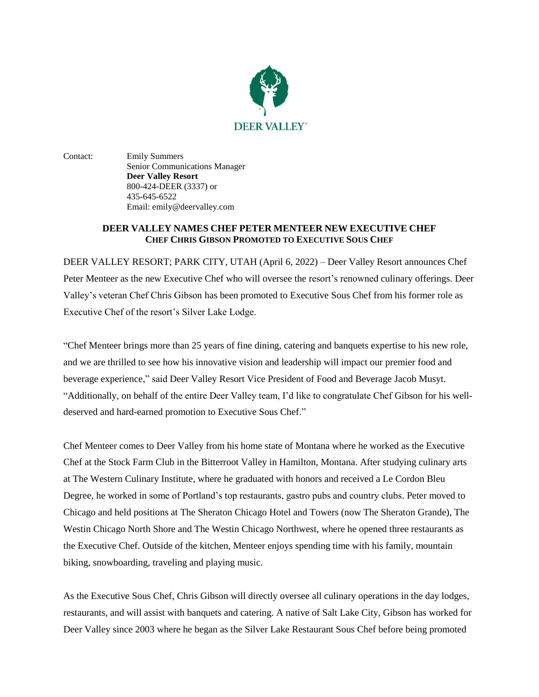

Contact: Emily Summers Senior Communications Manager **Deer Valley Resort** 800-424-DEER (3337) or 435-645-6522 Email: emily@deervalley.com

## **DEER VALLEY NAMES CHEF PETER MENTEER NEW EXECUTIVE CHEF CHEF CHRIS GIBSON PROMOTED TO EXECUTIVE SOUS CHEF**

DEER VALLEY RESORT; PARK CITY, UTAH (April 6, 2022) – Deer Valley Resort announces Chef Peter Menteer as the new Executive Chef who will oversee the resort's renowned culinary offerings. Deer Valley's veteran Chef Chris Gibson has been promoted to Executive Sous Chef from his former role as Executive Chef of the resort's Silver Lake Lodge.

"Chef Menteer brings more than 25 years of fine dining, catering and banquets expertise to his new role, and we are thrilled to see how his innovative vision and leadership will impact our premier food and beverage experience," said Deer Valley Resort Vice President of Food and Beverage Jacob Musyt. "Additionally, on behalf of the entire Deer Valley team, I'd like to congratulate Chef Gibson for his welldeserved and hard-earned promotion to Executive Sous Chef."

Chef Menteer comes to Deer Valley from his home state of Montana where he worked as the Executive Chef at the Stock Farm Club in the Bitterroot Valley in Hamilton, Montana. After studying culinary arts at The Western Culinary Institute, where he graduated with honors and received a Le Cordon Bleu Degree, he worked in some of Portland's top restaurants, gastro pubs and country clubs. Peter moved to Chicago and held positions at The Sheraton Chicago Hotel and Towers (now The Sheraton Grande), The Westin Chicago North Shore and The Westin Chicago Northwest, where he opened three restaurants as the Executive Chef. Outside of the kitchen, Menteer enjoys spending time with his family, mountain biking, snowboarding, traveling and playing music.

As the Executive Sous Chef, Chris Gibson will directly oversee all culinary operations in the day lodges, restaurants, and will assist with banquets and catering. A native of Salt Lake City, Gibson has worked for Deer Valley since 2003 where he began as the Silver Lake Restaurant Sous Chef before being promoted